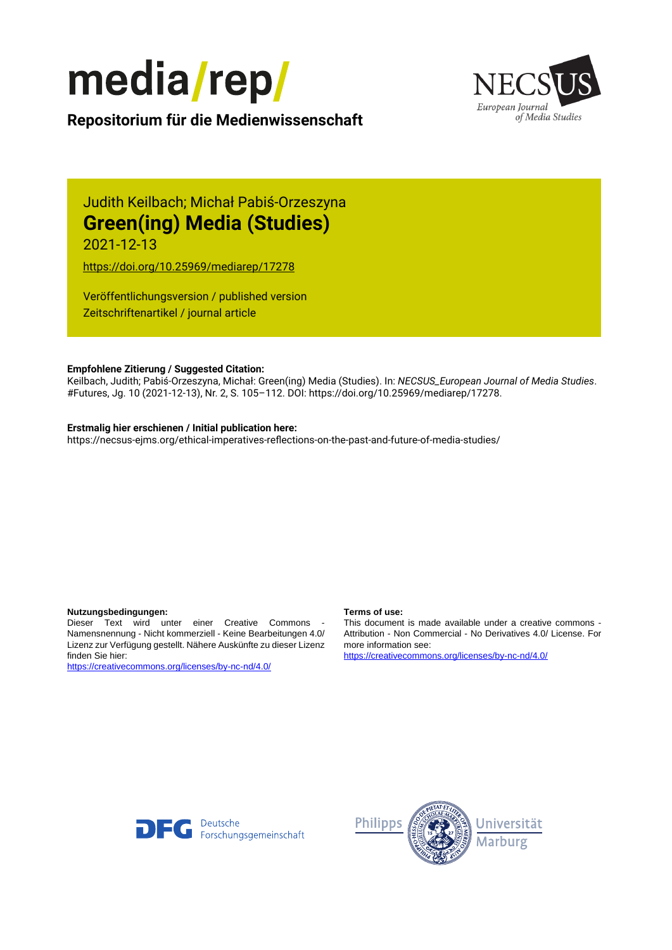



**Repositorium für die [Medienwissenschaft](https://mediarep.org)**

# Judith Keilbach; Michał Pabiś-Orzeszyna **Green(ing) Media (Studies)**

2021-12-13

<https://doi.org/10.25969/mediarep/17278>

Veröffentlichungsversion / published version Zeitschriftenartikel / journal article

#### **Empfohlene Zitierung / Suggested Citation:**

Keilbach, Judith; Pabiś-Orzeszyna, Michał: Green(ing) Media (Studies). In: *NECSUS\_European Journal of Media Studies*. #Futures, Jg. 10 (2021-12-13), Nr. 2, S. 105–112. DOI: https://doi.org/10.25969/mediarep/17278.

#### **Erstmalig hier erschienen / Initial publication here:**

https://necsus-ejms.org/ethical-imperatives-reflections-on-the-past-and-future-of-media-studies/

#### **Nutzungsbedingungen: Terms of use:**

Dieser Text wird unter einer Creative Commons - Namensnennung - Nicht kommerziell - Keine Bearbeitungen 4.0/ Lizenz zur Verfügung gestellt. Nähere Auskünfte zu dieser Lizenz finden Sie hier:

<https://creativecommons.org/licenses/by-nc-nd/4.0/>

This document is made available under a creative commons - Attribution - Non Commercial - No Derivatives 4.0/ License. For more information see:

<https://creativecommons.org/licenses/by-nc-nd/4.0/>



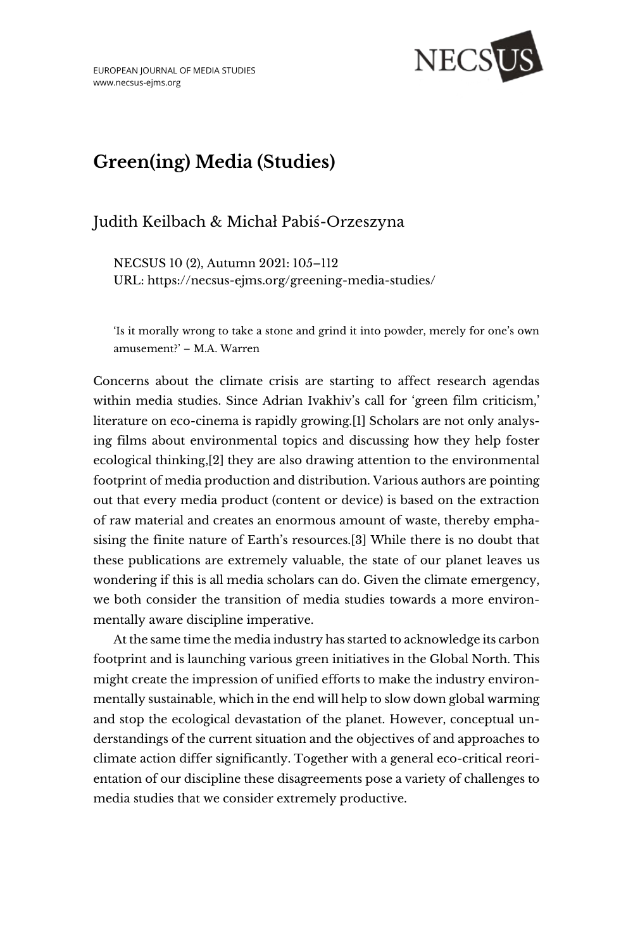

# **Green(ing) Media (Studies)**

# Judith Keilbach & Michał Pabiś-Orzeszyna

NECSUS 10 (2), Autumn 2021: 105–112 URL:<https://necsus-ejms.org/greening-media-studies/>

'Is it morally wrong to take a stone and grind it into powder, merely for one's own amusement?' – M.A. Warren

Concerns about the climate crisis are starting to affect research agendas within media studies. Since Adrian Ivakhiv's call for 'green film criticism,' literature on eco-cinema is rapidly growing.[1] Scholars are not only analysing films about environmental topics and discussing how they help foster ecological thinking,[2] they are also drawing attention to the environmental footprint of media production and distribution. Various authors are pointing out that every media product (content or device) is based on the extraction of raw material and creates an enormous amount of waste, thereby emphasising the finite nature of Earth's resources.[3] While there is no doubt that these publications are extremely valuable, the state of our planet leaves us wondering if this is all media scholars can do. Given the climate emergency, we both consider the transition of media studies towards a more environmentally aware discipline imperative.

At the same time the media industry has started to acknowledge its carbon footprint and is launching various green initiatives in the Global North. This might create the impression of unified efforts to make the industry environmentally sustainable, which in the end will help to slow down global warming and stop the ecological devastation of the planet. However, conceptual understandings of the current situation and the objectives of and approaches to climate action differ significantly. Together with a general eco-critical reorientation of our discipline these disagreements pose a variety of challenges to media studies that we consider extremely productive.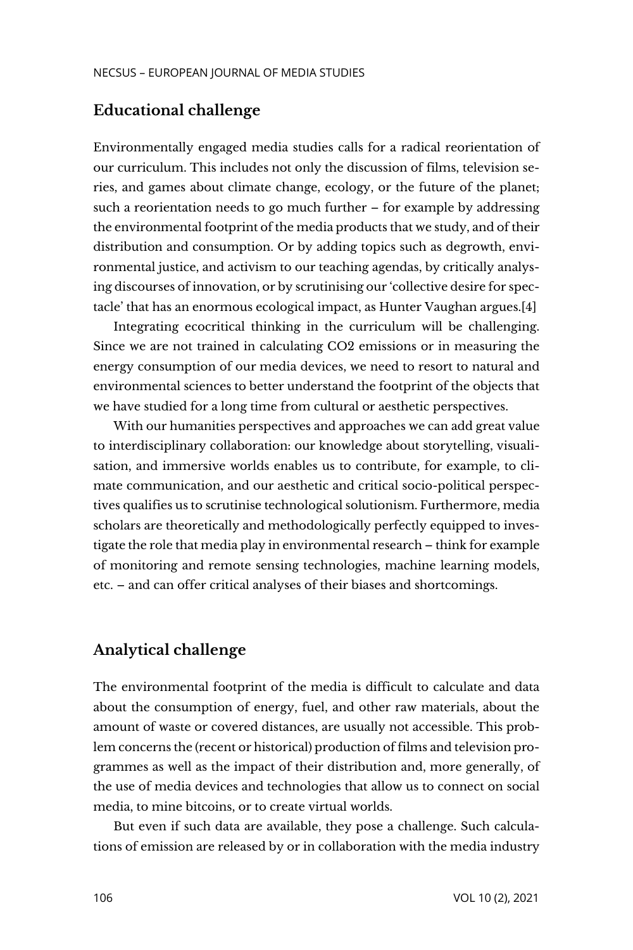#### **Educational challenge**

Environmentally engaged media studies calls for a radical reorientation of our curriculum. This includes not only the discussion of films, television series, and games about climate change, ecology, or the future of the planet; such a reorientation needs to go much further – for example by addressing the environmental footprint of the media products that we study, and of their distribution and consumption. Or by adding topics such as degrowth, environmental justice, and activism to our teaching agendas, by critically analysing discourses of innovation, or by scrutinising our 'collective desire for spectacle' that has an enormous ecological impact, as Hunter Vaughan argues.[4]

Integrating ecocritical thinking in the curriculum will be challenging. Since we are not trained in calculating CO2 emissions or in measuring the energy consumption of our media devices, we need to resort to natural and environmental sciences to better understand the footprint of the objects that we have studied for a long time from cultural or aesthetic perspectives.

With our humanities perspectives and approaches we can add great value to interdisciplinary collaboration: our knowledge about storytelling, visualisation, and immersive worlds enables us to contribute, for example, to climate communication, and our aesthetic and critical socio-political perspectives qualifies us to scrutinise technological solutionism. Furthermore, media scholars are theoretically and methodologically perfectly equipped to investigate the role that media play in environmental research – think for example of monitoring and remote sensing technologies, machine learning models, etc. – and can offer critical analyses of their biases and shortcomings.

#### **Analytical challenge**

The environmental footprint of the media is difficult to calculate and data about the consumption of energy, fuel, and other raw materials, about the amount of waste or covered distances, are usually not accessible. This problem concerns the (recent or historical) production of films and television programmes as well as the impact of their distribution and, more generally, of the use of media devices and technologies that allow us to connect on social media, to mine bitcoins, or to create virtual worlds.

But even if such data are available, they pose a challenge. Such calculations of emission are released by or in collaboration with the media industry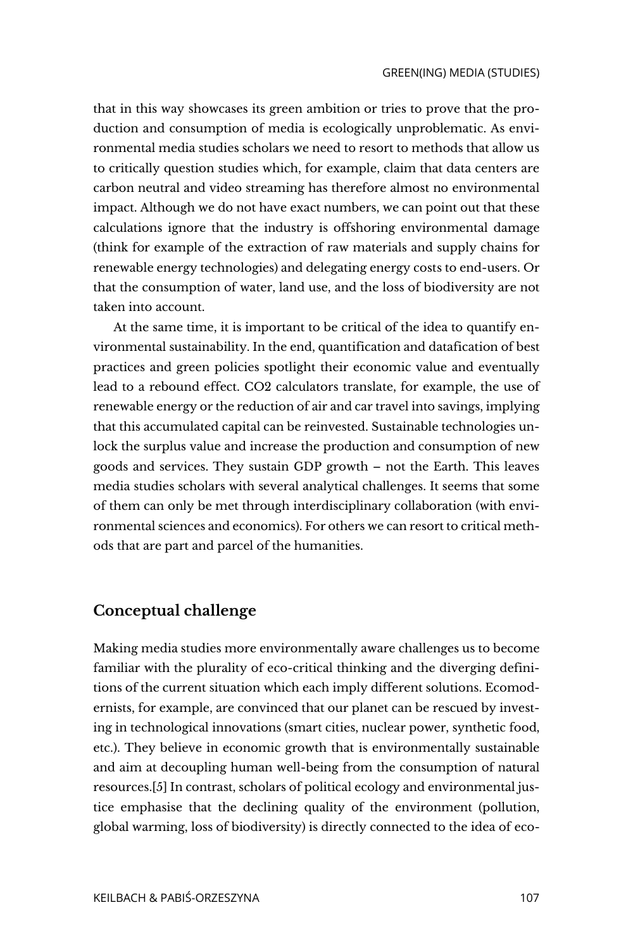that in this way showcases its green ambition or tries to prove that the production and consumption of media is ecologically unproblematic. As environmental media studies scholars we need to resort to methods that allow us to critically question studies which, for example, claim that data centers are carbon neutral and video streaming has therefore almost no environmental impact. Although we do not have exact numbers, we can point out that these calculations ignore that the industry is offshoring environmental damage (think for example of the extraction of raw materials and supply chains for renewable energy technologies) and delegating energy costs to end-users. Or that the consumption of water, land use, and the loss of biodiversity are not taken into account.

At the same time, it is important to be critical of the idea to quantify environmental sustainability. In the end, quantification and datafication of best practices and green policies spotlight their economic value and eventually lead to a rebound effect. CO2 calculators translate, for example, the use of renewable energy or the reduction of air and car travel into savings, implying that this accumulated capital can be reinvested. Sustainable technologies unlock the surplus value and increase the production and consumption of new goods and services. They sustain GDP growth – not the Earth. This leaves media studies scholars with several analytical challenges. It seems that some of them can only be met through interdisciplinary collaboration (with environmental sciences and economics). For others we can resort to critical methods that are part and parcel of the humanities.

## **Conceptual challenge**

Making media studies more environmentally aware challenges us to become familiar with the plurality of eco-critical thinking and the diverging definitions of the current situation which each imply different solutions. Ecomodernists, for example, are convinced that our planet can be rescued by investing in technological innovations (smart cities, nuclear power, synthetic food, etc.). They believe in economic growth that is environmentally sustainable and aim at decoupling human well-being from the consumption of natural resources.[5] In contrast, scholars of political ecology and environmental justice emphasise that the declining quality of the environment (pollution, global warming, loss of biodiversity) is directly connected to the idea of eco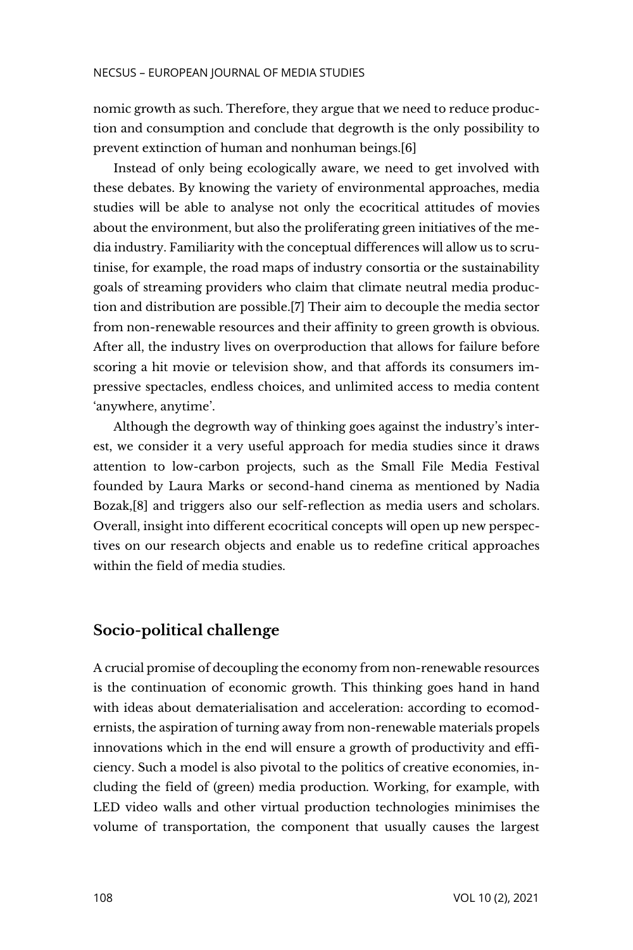nomic growth as such. Therefore, they argue that we need to reduce production and consumption and conclude that degrowth is the only possibility to prevent extinction of human and nonhuman beings.[6]

Instead of only being ecologically aware, we need to get involved with these debates. By knowing the variety of environmental approaches, media studies will be able to analyse not only the ecocritical attitudes of movies about the environment, but also the proliferating green initiatives of the media industry. Familiarity with the conceptual differences will allow us to scrutinise, for example, the road maps of industry consortia or the sustainability goals of streaming providers who claim that climate neutral media production and distribution are possible.[7] Their aim to decouple the media sector from non-renewable resources and their affinity to green growth is obvious. After all, the industry lives on overproduction that allows for failure before scoring a hit movie or television show, and that affords its consumers impressive spectacles, endless choices, and unlimited access to media content 'anywhere, anytime'.

Although the degrowth way of thinking goes against the industry's interest, we consider it a very useful approach for media studies since it draws attention to low-carbon projects, such as the Small File Media Festival founded by Laura Marks or second-hand cinema as mentioned by Nadia Bozak,[8] and triggers also our self-reflection as media users and scholars. Overall, insight into different ecocritical concepts will open up new perspectives on our research objects and enable us to redefine critical approaches within the field of media studies.

#### **Socio-political challenge**

A crucial promise of decoupling the economy from non-renewable resources is the continuation of economic growth. This thinking goes hand in hand with ideas about dematerialisation and acceleration: according to ecomodernists, the aspiration of turning away from non-renewable materials propels innovations which in the end will ensure a growth of productivity and efficiency. Such a model is also pivotal to the politics of creative economies, including the field of (green) media production. Working, for example, with LED video walls and other virtual production technologies minimises the volume of transportation, the component that usually causes the largest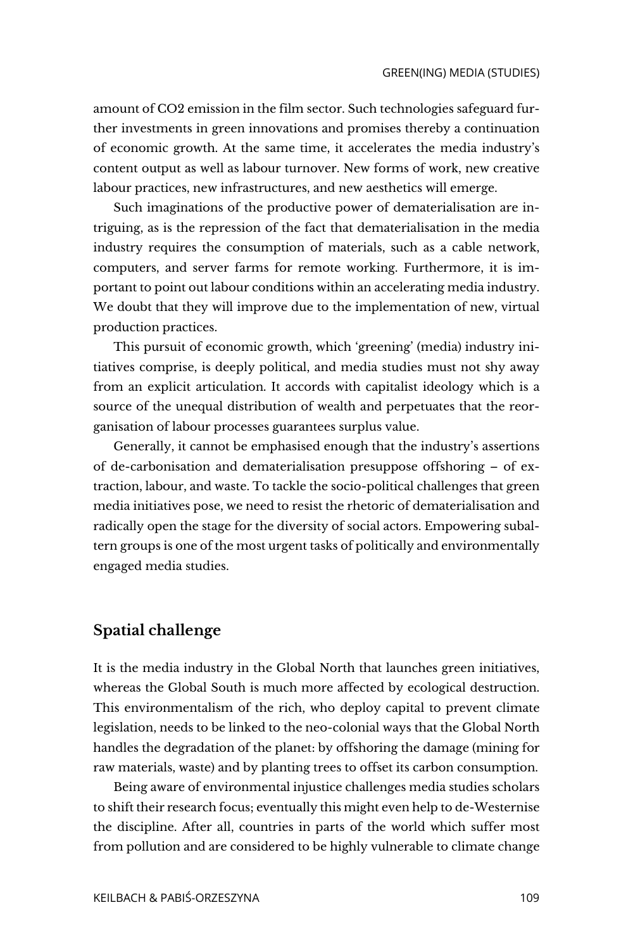amount of CO2 emission in the film sector. Such technologies safeguard further investments in green innovations and promises thereby a continuation of economic growth. At the same time, it accelerates the media industry's content output as well as labour turnover. New forms of work, new creative labour practices, new infrastructures, and new aesthetics will emerge.

Such imaginations of the productive power of dematerialisation are intriguing, as is the repression of the fact that dematerialisation in the media industry requires the consumption of materials, such as a cable network, computers, and server farms for remote working. Furthermore, it is important to point out labour conditions within an accelerating media industry. We doubt that they will improve due to the implementation of new, virtual production practices.

This pursuit of economic growth, which 'greening' (media) industry initiatives comprise, is deeply political, and media studies must not shy away from an explicit articulation. It accords with capitalist ideology which is a source of the unequal distribution of wealth and perpetuates that the reorganisation of labour processes guarantees surplus value.

Generally, it cannot be emphasised enough that the industry's assertions of de-carbonisation and dematerialisation presuppose offshoring – of extraction, labour, and waste. To tackle the socio-political challenges that green media initiatives pose, we need to resist the rhetoric of dematerialisation and radically open the stage for the diversity of social actors. Empowering subaltern groups is one of the most urgent tasks of politically and environmentally engaged media studies.

#### **Spatial challenge**

It is the media industry in the Global North that launches green initiatives, whereas the Global South is much more affected by ecological destruction. This environmentalism of the rich, who deploy capital to prevent climate legislation, needs to be linked to the neo-colonial ways that the Global North handles the degradation of the planet: by offshoring the damage (mining for raw materials, waste) and by planting trees to offset its carbon consumption.

Being aware of environmental injustice challenges media studies scholars to shift their research focus; eventually this might even help to de-Westernise the discipline. After all, countries in parts of the world which suffer most from pollution and are considered to be highly vulnerable to climate change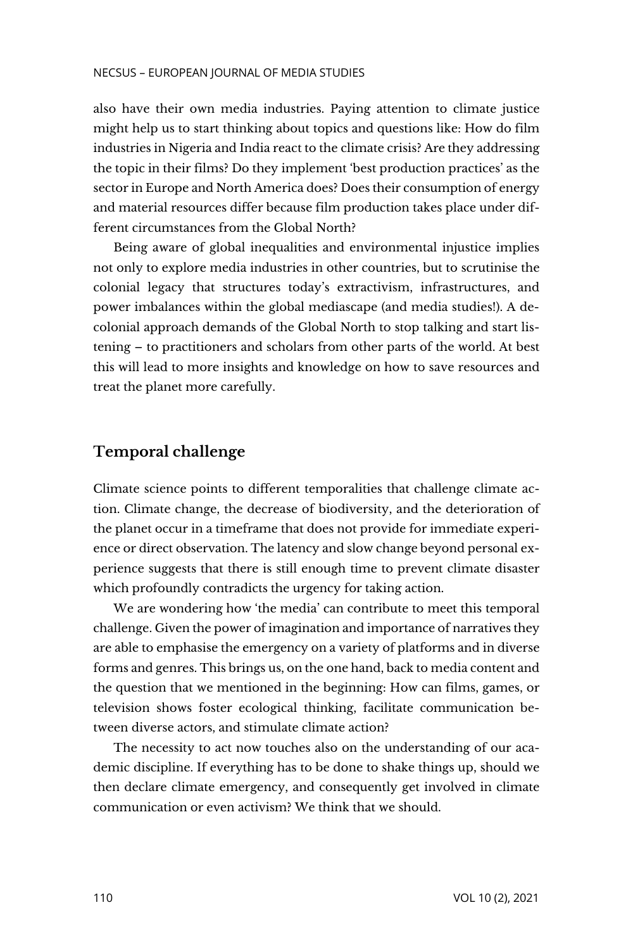also have their own media industries. Paying attention to climate justice might help us to start thinking about topics and questions like: How do film industries in Nigeria and India react to the climate crisis? Are they addressing the topic in their films? Do they implement 'best production practices' as the sector in Europe and North America does? Does their consumption of energy and material resources differ because film production takes place under different circumstances from the Global North?

Being aware of global inequalities and environmental injustice implies not only to explore media industries in other countries, but to scrutinise the colonial legacy that structures today's extractivism, infrastructures, and power imbalances within the global mediascape (and media studies!). A decolonial approach demands of the Global North to stop talking and start listening – to practitioners and scholars from other parts of the world. At best this will lead to more insights and knowledge on how to save resources and treat the planet more carefully.

## **Temporal challenge**

Climate science points to different temporalities that challenge climate action. Climate change, the decrease of biodiversity, and the deterioration of the planet occur in a timeframe that does not provide for immediate experience or direct observation. The latency and slow change beyond personal experience suggests that there is still enough time to prevent climate disaster which profoundly contradicts the urgency for taking action.

We are wondering how 'the media' can contribute to meet this temporal challenge. Given the power of imagination and importance of narratives they are able to emphasise the emergency on a variety of platforms and in diverse forms and genres. This brings us, on the one hand, back to media content and the question that we mentioned in the beginning: How can films, games, or television shows foster ecological thinking, facilitate communication between diverse actors, and stimulate climate action?

The necessity to act now touches also on the understanding of our academic discipline. If everything has to be done to shake things up, should we then declare climate emergency, and consequently get involved in climate communication or even activism? We think that we should.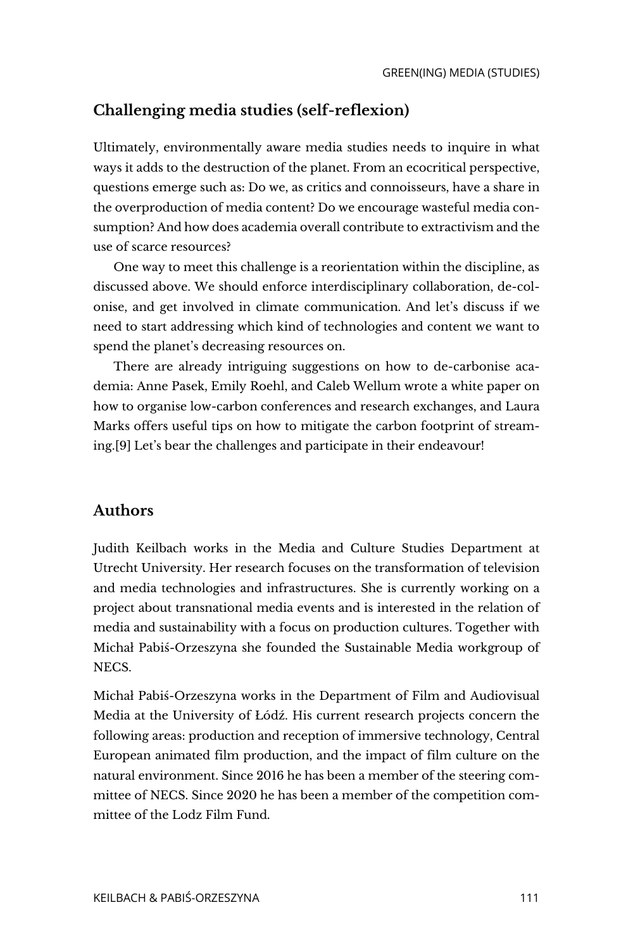# **Challenging media studies (self-reflexion)**

Ultimately, environmentally aware media studies needs to inquire in what ways it adds to the destruction of the planet. From an ecocritical perspective, questions emerge such as: Do we, as critics and connoisseurs, have a share in the overproduction of media content? Do we encourage wasteful media consumption? And how does academia overall contribute to extractivism and the use of scarce resources?

One way to meet this challenge is a reorientation within the discipline, as discussed above. We should enforce interdisciplinary collaboration, de-colonise, and get involved in climate communication. And let's discuss if we need to start addressing which kind of technologies and content we want to spend the planet's decreasing resources on.

There are already intriguing suggestions on how to de-carbonise academia: Anne Pasek, Emily Roehl, and Caleb Wellum wrote a white paper on how to organise low-carbon conferences and research exchanges, and Laura Marks offers useful tips on how to mitigate the carbon footprint of streaming.[9] Let's bear the challenges and participate in their endeavour!

## **Authors**

Judith Keilbach works in the Media and Culture Studies Department at Utrecht University. Her research focuses on the transformation of television and media technologies and infrastructures. She is currently working on a project about transnational media events and is interested in the relation of media and sustainability with a focus on production cultures. Together with Michał Pabiś-Orzeszyna she founded the Sustainable Media workgroup of NECS.

Michał Pabiś-Orzeszyna works in the Department of Film and Audiovisual Media at the University of Łódź. His current research projects concern the following areas: production and reception of immersive technology, Central European animated film production, and the impact of film culture on the natural environment. Since 2016 he has been a member of the steering committee of NECS. Since 2020 he has been a member of the competition committee of the Lodz Film Fund.